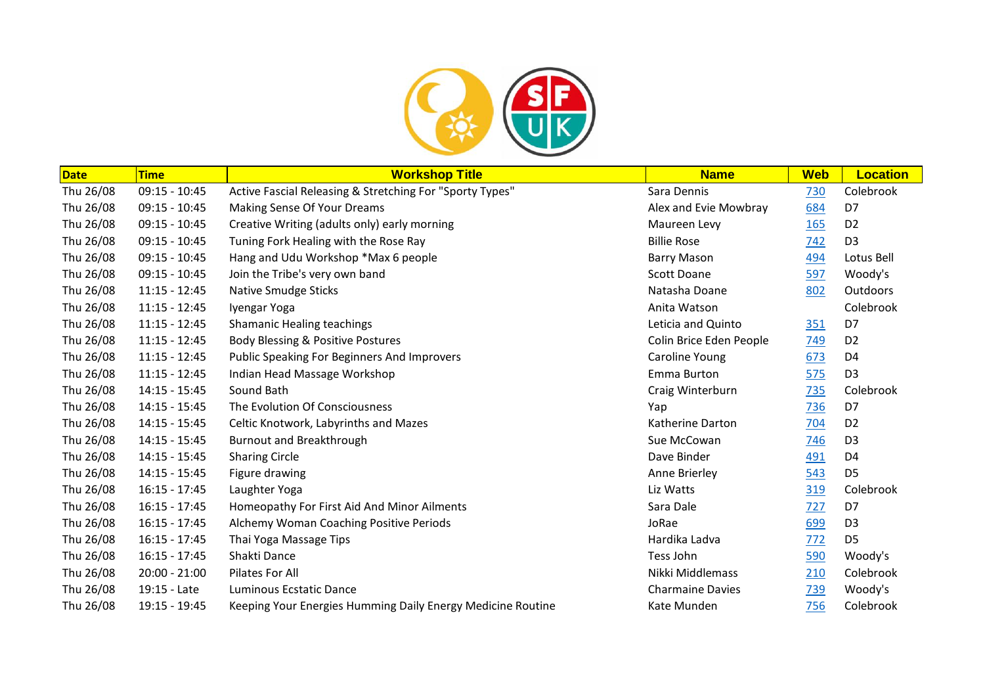

| <b>Date</b> | <b>Time</b>     | <b>Workshop Title</b>                                       | <b>Name</b>             | <b>Web</b> | <b>Location</b> |
|-------------|-----------------|-------------------------------------------------------------|-------------------------|------------|-----------------|
| Thu 26/08   | $09:15 - 10:45$ | Active Fascial Releasing & Stretching For "Sporty Types"    | Sara Dennis             | <u>730</u> | Colebrook       |
| Thu 26/08   | $09:15 - 10:45$ | Making Sense Of Your Dreams                                 | Alex and Evie Mowbray   | 684        | D7              |
| Thu 26/08   | $09:15 - 10:45$ | Creative Writing (adults only) early morning                | Maureen Levy            | <b>165</b> | D <sub>2</sub>  |
| Thu 26/08   | $09:15 - 10:45$ | Tuning Fork Healing with the Rose Ray                       | <b>Billie Rose</b>      | 742        | D <sub>3</sub>  |
| Thu 26/08   | $09:15 - 10:45$ | Hang and Udu Workshop *Max 6 people                         | <b>Barry Mason</b>      | 494        | Lotus Bell      |
| Thu 26/08   | $09:15 - 10:45$ | Join the Tribe's very own band                              | Scott Doane             | 597        | Woody's         |
| Thu 26/08   | $11:15 - 12:45$ | Native Smudge Sticks                                        | Natasha Doane           | 802        | Outdoors        |
| Thu 26/08   | $11:15 - 12:45$ | Iyengar Yoga                                                | Anita Watson            |            | Colebrook       |
| Thu 26/08   | $11:15 - 12:45$ | <b>Shamanic Healing teachings</b>                           | Leticia and Quinto      | 351        | D7              |
| Thu 26/08   | $11:15 - 12:45$ | Body Blessing & Positive Postures                           | Colin Brice Eden People | 749        | D <sub>2</sub>  |
| Thu 26/08   | $11:15 - 12:45$ | Public Speaking For Beginners And Improvers                 | Caroline Young          | 673        | D4              |
| Thu 26/08   | $11:15 - 12:45$ | Indian Head Massage Workshop                                | Emma Burton             | 575        | D <sub>3</sub>  |
| Thu 26/08   | $14:15 - 15:45$ | Sound Bath                                                  | Craig Winterburn        | 735        | Colebrook       |
| Thu 26/08   | $14:15 - 15:45$ | The Evolution Of Consciousness                              | Yap                     | <u>736</u> | D7              |
| Thu 26/08   | $14:15 - 15:45$ | Celtic Knotwork, Labyrinths and Mazes                       | Katherine Darton        | 704        | D <sub>2</sub>  |
| Thu 26/08   | 14:15 - 15:45   | <b>Burnout and Breakthrough</b>                             | Sue McCowan             | 746        | D <sub>3</sub>  |
| Thu 26/08   | $14:15 - 15:45$ | <b>Sharing Circle</b>                                       | Dave Binder             | 491        | D <sub>4</sub>  |
| Thu 26/08   | $14:15 - 15:45$ | Figure drawing                                              | Anne Brierley           | 543        | D <sub>5</sub>  |
| Thu 26/08   | $16:15 - 17:45$ | Laughter Yoga                                               | Liz Watts               | 319        | Colebrook       |
| Thu 26/08   | $16:15 - 17:45$ | Homeopathy For First Aid And Minor Ailments                 | Sara Dale               | 727        | D7              |
| Thu 26/08   | $16:15 - 17:45$ | Alchemy Woman Coaching Positive Periods                     | JoRae                   | 699        | D <sub>3</sub>  |
| Thu 26/08   | $16:15 - 17:45$ | Thai Yoga Massage Tips                                      | Hardika Ladva           | 772        | D <sub>5</sub>  |
| Thu 26/08   | $16:15 - 17:45$ | Shakti Dance                                                | Tess John               | 590        | Woody's         |
| Thu 26/08   | $20:00 - 21:00$ | Pilates For All                                             | Nikki Middlemass        | 210        | Colebrook       |
| Thu 26/08   | 19:15 - Late    | Luminous Ecstatic Dance                                     | <b>Charmaine Davies</b> | 739        | Woody's         |
| Thu 26/08   | 19:15 - 19:45   | Keeping Your Energies Humming Daily Energy Medicine Routine | Kate Munden             | 756        | Colebrook       |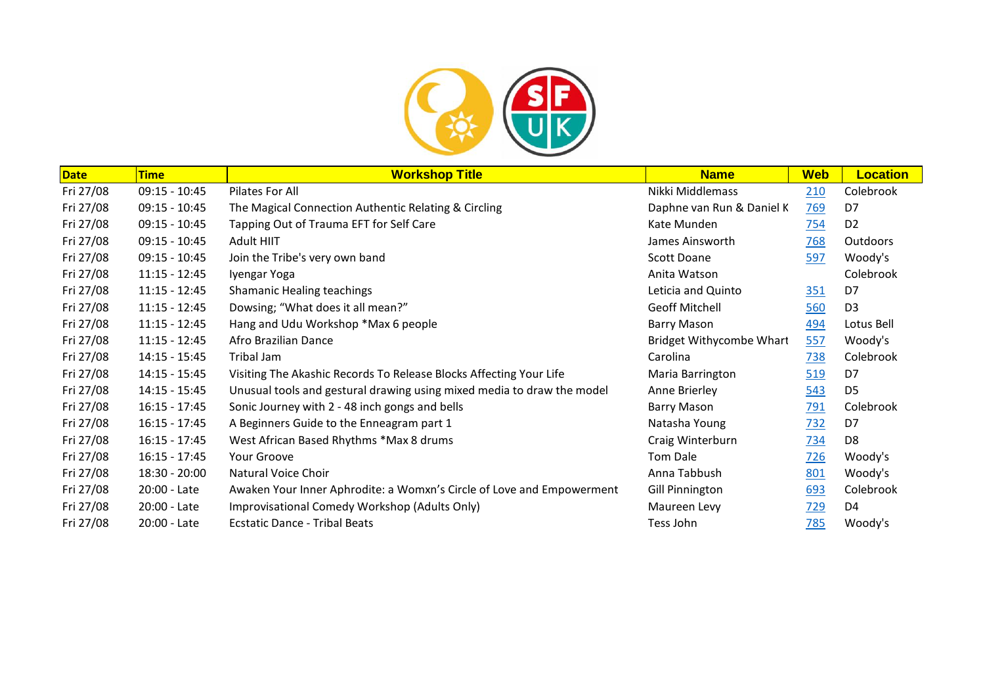

| <b>Date</b> | <b>Time</b>     | <b>Workshop Title</b>                                                  | <b>Name</b>                     | <b>Web</b> | <b>Location</b> |
|-------------|-----------------|------------------------------------------------------------------------|---------------------------------|------------|-----------------|
| Fri 27/08   | $09:15 - 10:45$ | Pilates For All                                                        | Nikki Middlemass                | 210        | Colebrook       |
| Fri 27/08   | $09:15 - 10:45$ | The Magical Connection Authentic Relating & Circling                   | Daphne van Run & Daniel K       | 769        | D7              |
| Fri 27/08   | $09:15 - 10:45$ | Tapping Out of Trauma EFT for Self Care                                | Kate Munden                     | <u>754</u> | D <sub>2</sub>  |
| Fri 27/08   | $09:15 - 10:45$ | Adult HIIT                                                             | James Ainsworth                 | 768        | Outdoors        |
| Fri 27/08   | $09:15 - 10:45$ | Join the Tribe's very own band                                         | Scott Doane                     | 597        | Woody's         |
| Fri 27/08   | $11:15 - 12:45$ | Iyengar Yoga                                                           | Anita Watson                    |            | Colebrook       |
| Fri 27/08   | $11:15 - 12:45$ | <b>Shamanic Healing teachings</b>                                      | Leticia and Quinto              | <u>351</u> | D7              |
| Fri 27/08   | $11:15 - 12:45$ | Dowsing; "What does it all mean?"                                      | <b>Geoff Mitchell</b>           | 560        | D <sub>3</sub>  |
| Fri 27/08   | $11:15 - 12:45$ | Hang and Udu Workshop *Max 6 people                                    | <b>Barry Mason</b>              | <u>494</u> | Lotus Bell      |
| Fri 27/08   | $11:15 - 12:45$ | Afro Brazilian Dance                                                   | <b>Bridget Withycombe Whart</b> | 557        | Woody's         |
| Fri 27/08   | $14:15 - 15:45$ | Tribal Jam                                                             | Carolina                        | 738        | Colebrook       |
| Fri 27/08   | $14:15 - 15:45$ | Visiting The Akashic Records To Release Blocks Affecting Your Life     | Maria Barrington                | 519        | D7              |
| Fri 27/08   | $14:15 - 15:45$ | Unusual tools and gestural drawing using mixed media to draw the model | Anne Brierley                   | 543        | D <sub>5</sub>  |
| Fri 27/08   | $16:15 - 17:45$ | Sonic Journey with 2 - 48 inch gongs and bells                         | Barry Mason                     | <u>791</u> | Colebrook       |
| Fri 27/08   | $16:15 - 17:45$ | A Beginners Guide to the Enneagram part 1                              | Natasha Young                   | <u>732</u> | D7              |
| Fri 27/08   | $16:15 - 17:45$ | West African Based Rhythms *Max 8 drums                                | Craig Winterburn                | <u>734</u> | D <sub>8</sub>  |
| Fri 27/08   | $16:15 - 17:45$ | Your Groove                                                            | Tom Dale                        | <u>726</u> | Woody's         |
| Fri 27/08   | 18:30 - 20:00   | Natural Voice Choir                                                    | Anna Tabbush                    | 801        | Woody's         |
| Fri 27/08   | 20:00 - Late    | Awaken Your Inner Aphrodite: a Womxn's Circle of Love and Empowerment  | Gill Pinnington                 | 693        | Colebrook       |
| Fri 27/08   | 20:00 - Late    | Improvisational Comedy Workshop (Adults Only)                          | Maureen Levy                    | <u>729</u> | D4              |
| Fri 27/08   | 20:00 - Late    | <b>Ecstatic Dance - Tribal Beats</b>                                   | Tess John                       | 785        | Woody's         |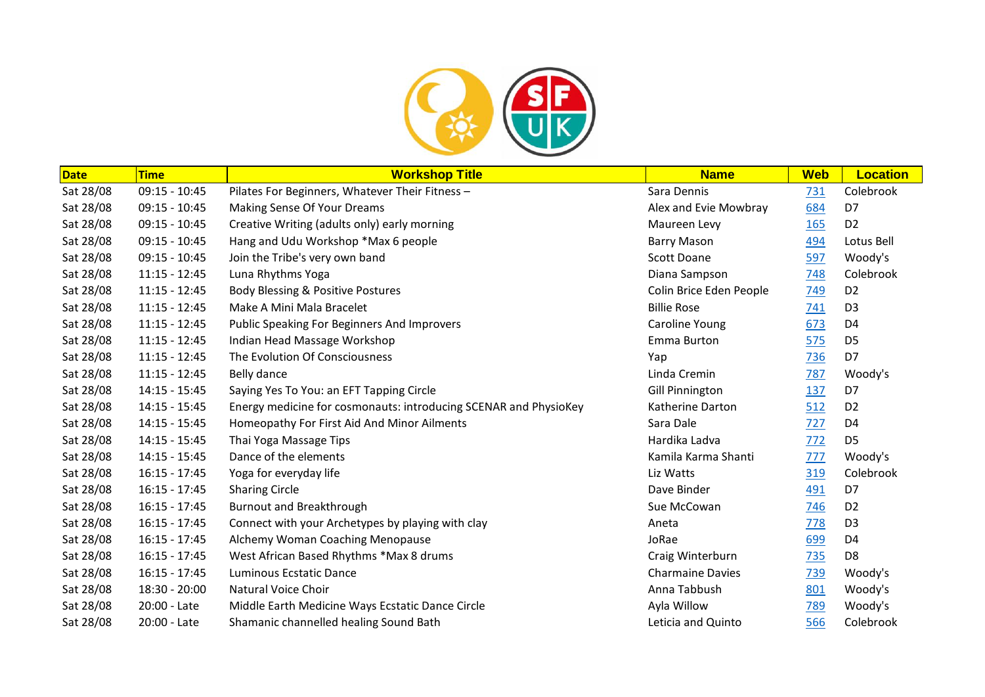

| <b>Date</b> | <b>Time</b>     | <b>Workshop Title</b>                                            | <b>Name</b>             | <b>Web</b> | <b>Location</b> |
|-------------|-----------------|------------------------------------------------------------------|-------------------------|------------|-----------------|
| Sat 28/08   | $09:15 - 10:45$ | Pilates For Beginners, Whatever Their Fitness -                  | Sara Dennis             | 731        | Colebrook       |
| Sat 28/08   | $09:15 - 10:45$ | Making Sense Of Your Dreams                                      | Alex and Evie Mowbray   | 684        | D7              |
| Sat 28/08   | $09:15 - 10:45$ | Creative Writing (adults only) early morning                     | Maureen Levy            | <b>165</b> | D <sub>2</sub>  |
| Sat 28/08   | $09:15 - 10:45$ | Hang and Udu Workshop *Max 6 people                              | <b>Barry Mason</b>      | 494        | Lotus Bell      |
| Sat 28/08   | $09:15 - 10:45$ | Join the Tribe's very own band                                   | Scott Doane             | 597        | Woody's         |
| Sat 28/08   | $11:15 - 12:45$ | Luna Rhythms Yoga                                                | Diana Sampson           | 748        | Colebrook       |
| Sat 28/08   | $11:15 - 12:45$ | Body Blessing & Positive Postures                                | Colin Brice Eden People | 749        | D <sub>2</sub>  |
| Sat 28/08   | $11:15 - 12:45$ | Make A Mini Mala Bracelet                                        | <b>Billie Rose</b>      | 741        | D <sub>3</sub>  |
| Sat 28/08   | $11:15 - 12:45$ | Public Speaking For Beginners And Improvers                      | Caroline Young          | 673        | D4              |
| Sat 28/08   | $11:15 - 12:45$ | Indian Head Massage Workshop                                     | Emma Burton             | 575        | D <sub>5</sub>  |
| Sat 28/08   | $11:15 - 12:45$ | The Evolution Of Consciousness                                   | Yap                     | <u>736</u> | D7              |
| Sat 28/08   | $11:15 - 12:45$ | Belly dance                                                      | Linda Cremin            | 787        | Woody's         |
| Sat 28/08   | $14:15 - 15:45$ | Saying Yes To You: an EFT Tapping Circle                         | Gill Pinnington         | <u>137</u> | D7              |
| Sat 28/08   | $14:15 - 15:45$ | Energy medicine for cosmonauts: introducing SCENAR and PhysioKey | Katherine Darton        | 512        | D <sub>2</sub>  |
| Sat 28/08   | $14:15 - 15:45$ | Homeopathy For First Aid And Minor Ailments                      | Sara Dale               | 727        | D <sub>4</sub>  |
| Sat 28/08   | $14:15 - 15:45$ | Thai Yoga Massage Tips                                           | Hardika Ladva           | 772        | D <sub>5</sub>  |
| Sat 28/08   | $14:15 - 15:45$ | Dance of the elements                                            | Kamila Karma Shanti     | <u>777</u> | Woody's         |
| Sat 28/08   | $16:15 - 17:45$ | Yoga for everyday life                                           | Liz Watts               | 319        | Colebrook       |
| Sat 28/08   | $16:15 - 17:45$ | <b>Sharing Circle</b>                                            | Dave Binder             | 491        | D7              |
| Sat 28/08   | $16:15 - 17:45$ | <b>Burnout and Breakthrough</b>                                  | Sue McCowan             | 746        | D <sub>2</sub>  |
| Sat 28/08   | $16:15 - 17:45$ | Connect with your Archetypes by playing with clay                | Aneta                   | 778        | D <sub>3</sub>  |
| Sat 28/08   | $16:15 - 17:45$ | Alchemy Woman Coaching Menopause                                 | JoRae                   | 699        | D <sub>4</sub>  |
| Sat 28/08   | $16:15 - 17:45$ | West African Based Rhythms *Max 8 drums                          | Craig Winterburn        | <u>735</u> | D <sub>8</sub>  |
| Sat 28/08   | $16:15 - 17:45$ | Luminous Ecstatic Dance                                          | <b>Charmaine Davies</b> | 739        | Woody's         |
| Sat 28/08   | 18:30 - 20:00   | Natural Voice Choir                                              | Anna Tabbush            | 801        | Woody's         |
| Sat 28/08   | 20:00 - Late    | Middle Earth Medicine Ways Ecstatic Dance Circle                 | Ayla Willow             | 789        | Woody's         |
| Sat 28/08   | 20:00 - Late    | Shamanic channelled healing Sound Bath                           | Leticia and Quinto      | 566        | Colebrook       |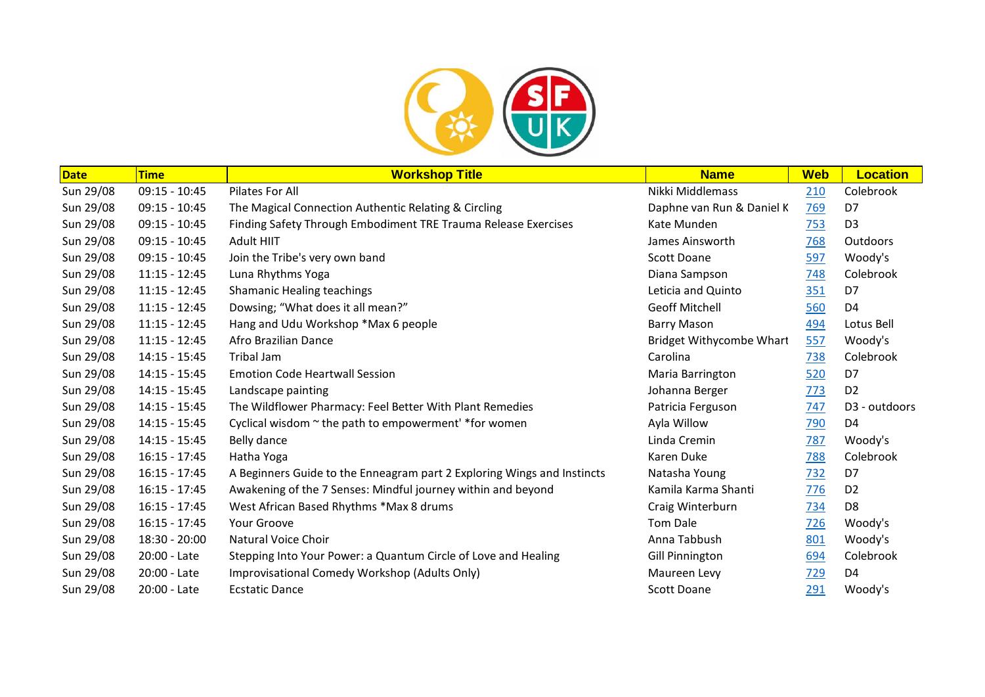

| <b>Date</b> | <b>Time</b>     | <b>Workshop Title</b>                                                   | <b>Name</b>               | <b>Web</b> | <b>Location</b> |
|-------------|-----------------|-------------------------------------------------------------------------|---------------------------|------------|-----------------|
| Sun 29/08   | $09:15 - 10:45$ | Pilates For All                                                         | Nikki Middlemass          | 210        | Colebrook       |
| Sun 29/08   | $09:15 - 10:45$ | The Magical Connection Authentic Relating & Circling                    | Daphne van Run & Daniel K | 769        | D7              |
| Sun 29/08   | $09:15 - 10:45$ | Finding Safety Through Embodiment TRE Trauma Release Exercises          | Kate Munden               | 753        | D <sub>3</sub>  |
| Sun 29/08   | $09:15 - 10:45$ | <b>Adult HIIT</b>                                                       | James Ainsworth           | 768        | Outdoors        |
| Sun 29/08   | $09:15 - 10:45$ | Join the Tribe's very own band                                          | <b>Scott Doane</b>        | 597        | Woody's         |
| Sun 29/08   | $11:15 - 12:45$ | Luna Rhythms Yoga                                                       | Diana Sampson             | 748        | Colebrook       |
| Sun 29/08   | $11:15 - 12:45$ | <b>Shamanic Healing teachings</b>                                       | Leticia and Quinto        | 351        | D7              |
| Sun 29/08   | $11:15 - 12:45$ | Dowsing; "What does it all mean?"                                       | <b>Geoff Mitchell</b>     | 560        | D <sub>4</sub>  |
| Sun 29/08   | $11:15 - 12:45$ | Hang and Udu Workshop *Max 6 people                                     | <b>Barry Mason</b>        | 494        | Lotus Bell      |
| Sun 29/08   | $11:15 - 12:45$ | Afro Brazilian Dance                                                    | Bridget Withycombe Whart  | 557        | Woody's         |
| Sun 29/08   | $14:15 - 15:45$ | <b>Tribal Jam</b>                                                       | Carolina                  | <u>738</u> | Colebrook       |
| Sun 29/08   | 14:15 - 15:45   | <b>Emotion Code Heartwall Session</b>                                   | Maria Barrington          | 520        | D7              |
| Sun 29/08   | $14:15 - 15:45$ | Landscape painting                                                      | Johanna Berger            | 773        | D <sub>2</sub>  |
| Sun 29/08   | $14:15 - 15:45$ | The Wildflower Pharmacy: Feel Better With Plant Remedies                | Patricia Ferguson         | 747        | D3 - outdoors   |
| Sun 29/08   | $14:15 - 15:45$ | Cyclical wisdom ~ the path to empowerment' *for women                   | Ayla Willow               | 790        | D <sub>4</sub>  |
| Sun 29/08   | $14:15 - 15:45$ | Belly dance                                                             | Linda Cremin              | 787        | Woody's         |
| Sun 29/08   | $16:15 - 17:45$ | Hatha Yoga                                                              | Karen Duke                | 788        | Colebrook       |
| Sun 29/08   | $16:15 - 17:45$ | A Beginners Guide to the Enneagram part 2 Exploring Wings and Instincts | Natasha Young             | 732        | D7              |
| Sun 29/08   | $16:15 - 17:45$ | Awakening of the 7 Senses: Mindful journey within and beyond            | Kamila Karma Shanti       | 776        | D <sub>2</sub>  |
| Sun 29/08   | 16:15 - 17:45   | West African Based Rhythms *Max 8 drums                                 | Craig Winterburn          | <u>734</u> | D <sub>8</sub>  |
| Sun 29/08   | $16:15 - 17:45$ | Your Groove                                                             | Tom Dale                  | 726        | Woody's         |
| Sun 29/08   | 18:30 - 20:00   | Natural Voice Choir                                                     | Anna Tabbush              | 801        | Woody's         |
| Sun 29/08   | 20:00 - Late    | Stepping Into Your Power: a Quantum Circle of Love and Healing          | Gill Pinnington           | 694        | Colebrook       |
| Sun 29/08   | 20:00 - Late    | Improvisational Comedy Workshop (Adults Only)                           | Maureen Levy              | <u>729</u> | D <sub>4</sub>  |
| Sun 29/08   | 20:00 - Late    | <b>Ecstatic Dance</b>                                                   | <b>Scott Doane</b>        | 291        | Woody's         |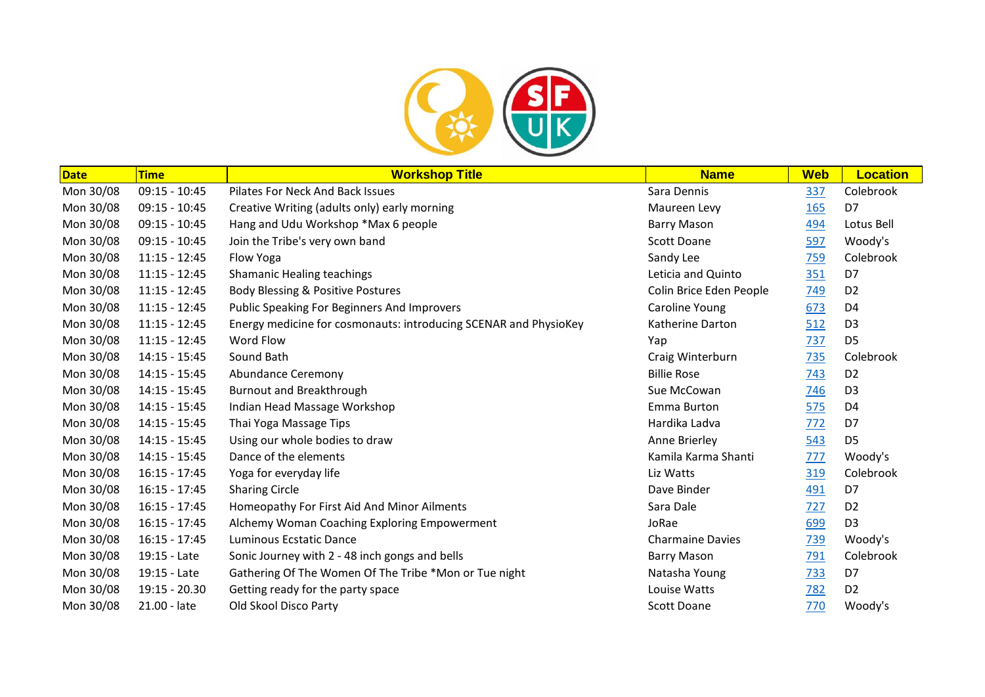

| <b>Date</b> | <b>Time</b>     | <b>Workshop Title</b>                                            | <b>Name</b>             | <b>Web</b> | <b>Location</b> |
|-------------|-----------------|------------------------------------------------------------------|-------------------------|------------|-----------------|
| Mon 30/08   | $09:15 - 10:45$ | Pilates For Neck And Back Issues                                 | Sara Dennis             | 337        | Colebrook       |
| Mon 30/08   | $09:15 - 10:45$ | Creative Writing (adults only) early morning                     | Maureen Levy            | <u>165</u> | D7              |
| Mon 30/08   | $09:15 - 10:45$ | Hang and Udu Workshop *Max 6 people                              | <b>Barry Mason</b>      | 494        | Lotus Bell      |
| Mon 30/08   | $09:15 - 10:45$ | Join the Tribe's very own band                                   | <b>Scott Doane</b>      | 597        | Woody's         |
| Mon 30/08   | $11:15 - 12:45$ | Flow Yoga                                                        | Sandy Lee               | 759        | Colebrook       |
| Mon 30/08   | $11:15 - 12:45$ | <b>Shamanic Healing teachings</b>                                | Leticia and Quinto      | 351        | D7              |
| Mon 30/08   | $11:15 - 12:45$ | Body Blessing & Positive Postures                                | Colin Brice Eden People | 749        | D <sub>2</sub>  |
| Mon 30/08   | $11:15 - 12:45$ | Public Speaking For Beginners And Improvers                      | Caroline Young          | 673        | D4              |
| Mon 30/08   | $11:15 - 12:45$ | Energy medicine for cosmonauts: introducing SCENAR and PhysioKey | Katherine Darton        | 512        | D <sub>3</sub>  |
| Mon 30/08   | $11:15 - 12:45$ | Word Flow                                                        | Yap                     | <u>737</u> | D <sub>5</sub>  |
| Mon 30/08   | $14:15 - 15:45$ | Sound Bath                                                       | Craig Winterburn        | <b>735</b> | Colebrook       |
| Mon 30/08   | $14:15 - 15:45$ | <b>Abundance Ceremony</b>                                        | <b>Billie Rose</b>      | 743        | D <sub>2</sub>  |
| Mon 30/08   | 14:15 - 15:45   | <b>Burnout and Breakthrough</b>                                  | Sue McCowan             | 746        | D <sub>3</sub>  |
| Mon 30/08   | $14:15 - 15:45$ | Indian Head Massage Workshop                                     | Emma Burton             | 575        | D <sub>4</sub>  |
| Mon 30/08   | 14:15 - 15:45   | Thai Yoga Massage Tips                                           | Hardika Ladva           | 772        | D7              |
| Mon 30/08   | $14:15 - 15:45$ | Using our whole bodies to draw                                   | Anne Brierley           | 543        | D <sub>5</sub>  |
| Mon 30/08   | $14:15 - 15:45$ | Dance of the elements                                            | Kamila Karma Shanti     | <u>777</u> | Woody's         |
| Mon 30/08   | $16:15 - 17:45$ | Yoga for everyday life                                           | Liz Watts               | 319        | Colebrook       |
| Mon 30/08   | $16:15 - 17:45$ | <b>Sharing Circle</b>                                            | Dave Binder             | 491        | D7              |
| Mon 30/08   | 16:15 - 17:45   | Homeopathy For First Aid And Minor Ailments                      | Sara Dale               | <u>727</u> | D <sub>2</sub>  |
| Mon 30/08   | $16:15 - 17:45$ | Alchemy Woman Coaching Exploring Empowerment                     | JoRae                   | 699        | D <sub>3</sub>  |
| Mon 30/08   | $16:15 - 17:45$ | Luminous Ecstatic Dance                                          | <b>Charmaine Davies</b> | 739        | Woody's         |
| Mon 30/08   | 19:15 - Late    | Sonic Journey with 2 - 48 inch gongs and bells                   | <b>Barry Mason</b>      | <u>791</u> | Colebrook       |
| Mon 30/08   | 19:15 - Late    | Gathering Of The Women Of The Tribe *Mon or Tue night            | Natasha Young           | <u>733</u> | D7              |
| Mon 30/08   | 19:15 - 20.30   | Getting ready for the party space                                | Louise Watts            | 782        | D <sub>2</sub>  |
| Mon 30/08   | 21.00 - late    | Old Skool Disco Party                                            | <b>Scott Doane</b>      | 770        | Woody's         |